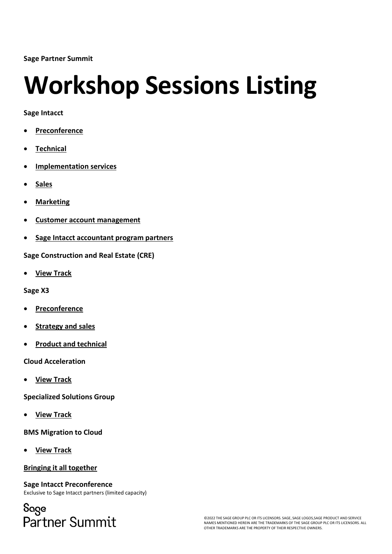**Sage Partner Summit**

# **Workshop Sessions Listing**

**Sage Intacct**

- **[Preconference](#page-0-0)**
- **[Technical](#page-2-0)**
- **[Implementation services](#page-3-0)**
- **[Sales](#page-4-0)**
- **[Marketing](#page-6-0)**
- **[Customer account management](#page-8-0)**
- **[Sage Intacct accountant program partners](#page-9-0)**

**Sage Construction and Real Estate (CRE)**

• **[View Track](#page-10-0)**

**Sage X3** 

- **[Preconference](#page-11-0)**
- **[Strategy and sales](#page-12-0)**
- **[Product and technical](#page-13-0)**

**Cloud Acceleration**

• **[View Track](#page-14-0)**

**Specialized Solutions Group**

• **[View Track](#page-15-0)**

**BMS Migration to Cloud**

• **[View Track](#page-16-0)**

#### **[Bringing it all together](#page-17-0)**

<span id="page-0-0"></span>**Sage Intacct Preconference** Exclusive to Sage Intacct partners (limited capacity)

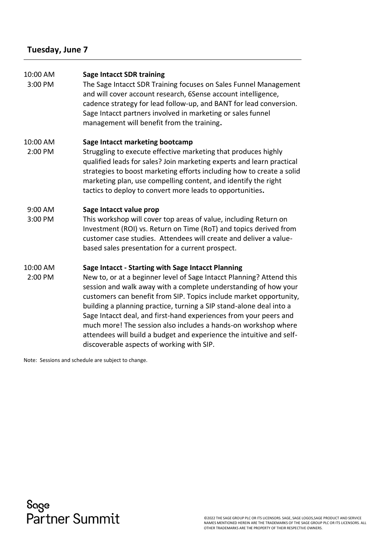### **Tuesday, June 7**

| 10:00 AM<br>3:00 PM | <b>Sage Intacct SDR training</b><br>The Sage Intacct SDR Training focuses on Sales Funnel Management<br>and will cover account research, 6Sense account intelligence,<br>cadence strategy for lead follow-up, and BANT for lead conversion.<br>Sage Intacct partners involved in marketing or sales funnel<br>management will benefit from the training.                                                                                                                                                                                                                                               |
|---------------------|--------------------------------------------------------------------------------------------------------------------------------------------------------------------------------------------------------------------------------------------------------------------------------------------------------------------------------------------------------------------------------------------------------------------------------------------------------------------------------------------------------------------------------------------------------------------------------------------------------|
| 10:00 AM<br>2:00 PM | Sage Intacct marketing bootcamp<br>Struggling to execute effective marketing that produces highly<br>qualified leads for sales? Join marketing experts and learn practical<br>strategies to boost marketing efforts including how to create a solid<br>marketing plan, use compelling content, and identify the right<br>tactics to deploy to convert more leads to opportunities.                                                                                                                                                                                                                     |
| 9:00 AM<br>3:00 PM  | Sage Intacct value prop<br>This workshop will cover top areas of value, including Return on<br>Investment (ROI) vs. Return on Time (RoT) and topics derived from<br>customer case studies. Attendees will create and deliver a value-<br>based sales presentation for a current prospect.                                                                                                                                                                                                                                                                                                              |
| 10:00 AM<br>2:00 PM | Sage Intacct - Starting with Sage Intacct Planning<br>New to, or at a beginner level of Sage Intacct Planning? Attend this<br>session and walk away with a complete understanding of how your<br>customers can benefit from SIP. Topics include market opportunity,<br>building a planning practice, turning a SIP stand-alone deal into a<br>Sage Intacct deal, and first-hand experiences from your peers and<br>much more! The session also includes a hands-on workshop where<br>attendees will build a budget and experience the intuitive and self-<br>discoverable aspects of working with SIP. |

Note: Sessions and schedule are subject to change.

Sage<br>Partner Summit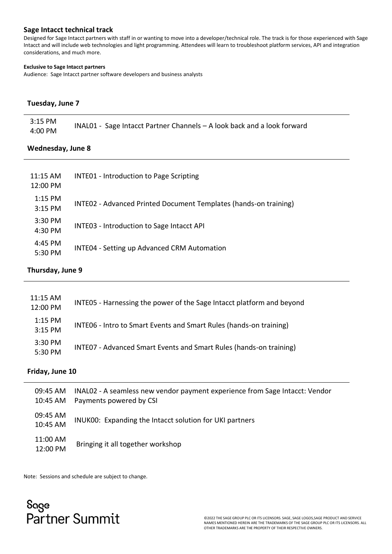#### <span id="page-2-0"></span>**Sage Intacct technical track**

Designed for Sage Intacct partners with staff in or wanting to move into a developer/technical role. The track is for those experienced with Sage Intacct and will include web technologies and light programming. Attendees will learn to troubleshoot platform services, API and integration considerations, and much more.

#### **Exclusive to Sage Intacct partners**

Audience: Sage Intacct partner software developers and business analysts

#### **Tuesday, June 7**

| 3:15 PM | INAL01 - Sage Intacct Partner Channels - A look back and a look forward |
|---------|-------------------------------------------------------------------------|
| 4:00 PM |                                                                         |

#### **Wednesday, June 8**

| 11:15 AM<br>12:00 PM | <b>INTE01 - Introduction to Page Scripting</b>                   |
|----------------------|------------------------------------------------------------------|
| $1:15$ PM<br>3:15 PM | INTEO2 - Advanced Printed Document Templates (hands-on training) |
| $3:30$ PM<br>4:30 PM | INTE03 - Introduction to Sage Intacct API                        |
| 4:45 PM<br>5:30 PM   | <b>INTE04 - Setting up Advanced CRM Automation</b>               |

#### **Thursday, June 9**

| 11:15 AM<br>12:00 PM | INTE05 - Harnessing the power of the Sage Intacct platform and beyond |
|----------------------|-----------------------------------------------------------------------|
| 1:15 PM<br>3:15 PM   | INTE06 - Intro to Smart Events and Smart Rules (hands-on training)    |
| 3:30 PM<br>5:30 PM   | INTE07 - Advanced Smart Events and Smart Rules (hands-on training)    |

#### **Friday, June 10**

| 09:45 AM<br>10:45 AM | INAL02 - A seamless new vendor payment experience from Sage Intacct: Vendor<br>Payments powered by CSI |
|----------------------|--------------------------------------------------------------------------------------------------------|
| 09:45 AM<br>10:45 AM | INUK00: Expanding the Intacct solution for UKI partners                                                |
| 11:00 AM<br>12:00 PM | Bringing it all together workshop                                                                      |

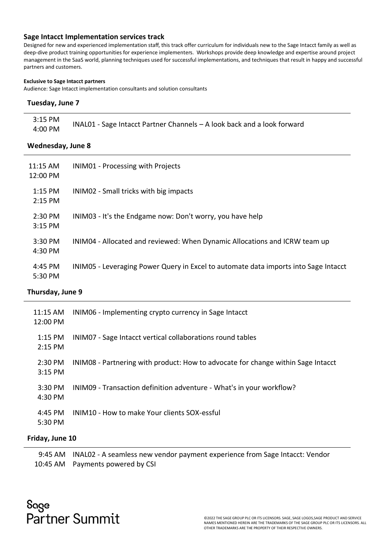#### <span id="page-3-0"></span>**Sage Intacct Implementation services track**

Designed for new and experienced implementation staff, this track offer curriculum for individuals new to the Sage Intacct family as well as deep-dive product training opportunities for experience implementers. Workshops provide deep knowledge and expertise around project management in the SaaS world, planning techniques used for successful implementations, and techniques that result in happy and successful partners and customers.

#### **Exclusive to Sage Intacct partners**

Audience: Sage Intacct implementation consultants and solution consultants

#### **Tuesday, June 7**

| 3:15 PM | $INALO1$ - Sage Intacct Partner Channels $-$ A look back and a look forward |
|---------|-----------------------------------------------------------------------------|
| 4:00 PM |                                                                             |

#### **Wednesday, June 8**

| 11:15 AM<br>12:00 PM   | <b>INIMO1</b> - Processing with Projects                                            |
|------------------------|-------------------------------------------------------------------------------------|
| $1:15$ PM<br>$2:15$ PM | INIM02 - Small tricks with big impacts                                              |
| $2:30$ PM<br>$3:15$ PM | INIM03 - It's the Endgame now: Don't worry, you have help                           |
| 3:30 PM<br>4:30 PM     | INIM04 - Allocated and reviewed: When Dynamic Allocations and ICRW team up          |
| 4:45 PM<br>5:30 PM     | INIM05 - Leveraging Power Query in Excel to automate data imports into Sage Intacct |

#### **Thursday, June 9**

| 11:15 AM<br>12:00 PM   | INIMO6 - Implementing crypto currency in Sage Intacct                            |
|------------------------|----------------------------------------------------------------------------------|
| $1:15$ PM<br>$2:15$ PM | INIMO7 - Sage Intacct vertical collaborations round tables                       |
| $2:30$ PM<br>$3:15$ PM | INIM08 - Partnering with product: How to advocate for change within Sage Intacct |
| 3:30 PM<br>4:30 PM     | INIM09 - Transaction definition adventure - What's in your workflow?             |
| 4:45 PM<br>5:30 PM     | INIM10 - How to make Your clients SOX-essful                                     |

#### **Friday, June 10**

9:45 AM INAL02 - A seamless new vendor payment experience from Sage Intacct: Vendor 10:45 AM Payments powered by CSI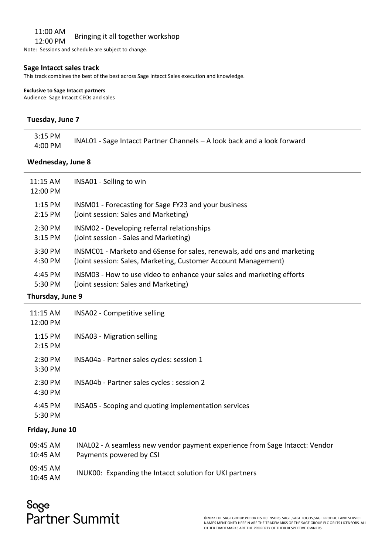#### 11:00 AM

## 11.00 AM Bringing it all together workshop

Note: Sessions and schedule are subject to change.

#### <span id="page-4-0"></span>**Sage Intacct sales track**

This track combines the best of the best across Sage Intacct Sales execution and knowledge.

**Exclusive to Sage Intacct partners**  Audience: Sage Intacct CEOs and sales

#### **Tuesday, June 7**

| INAL01 - Sage Intacct Partner Channels - A look back and a look forward |
|-------------------------------------------------------------------------|
|                                                                         |

#### **Wednesday, June 8**

| 11:15 AM<br>12:00 PM | INSA01 - Selling to win                                                 |
|----------------------|-------------------------------------------------------------------------|
| $1:15$ PM            | INSM01 - Forecasting for Sage FY23 and your business                    |
| 2:15 PM              | (Joint session: Sales and Marketing)                                    |
| 2:30 PM              | INSM02 - Developing referral relationships                              |
| 3:15 PM              | (Joint session - Sales and Marketing)                                   |
| 3:30 PM              | INSMC01 - Marketo and 6Sense for sales, renewals, add ons and marketing |
| 4:30 PM              | (Joint session: Sales, Marketing, Customer Account Management)          |
| 4:45 PM              | INSM03 - How to use video to enhance your sales and marketing efforts   |
| 5:30 PM              | (Joint session: Sales and Marketing)                                    |

#### **Thursday, June 9**

| 11:15 AM<br>12:00 PM   | INSA02 - Competitive selling                         |
|------------------------|------------------------------------------------------|
| $1:15$ PM<br>$2:15$ PM | INSA03 - Migration selling                           |
| 2:30 PM<br>3:30 PM     | INSA04a - Partner sales cycles: session 1            |
| 2:30 PM<br>4:30 PM     | INSA04b - Partner sales cycles : session 2           |
| 4:45 PM<br>5:30 PM     | INSA05 - Scoping and quoting implementation services |

#### **Friday, June 10**

| 09:45 AM             | INAL02 - A seamless new vendor payment experience from Sage Intacct: Vendor |
|----------------------|-----------------------------------------------------------------------------|
| 10:45 AM             | Payments powered by CSI                                                     |
| 09:45 AM<br>10:45 AM | INUK00: Expanding the Intacct solution for UKI partners                     |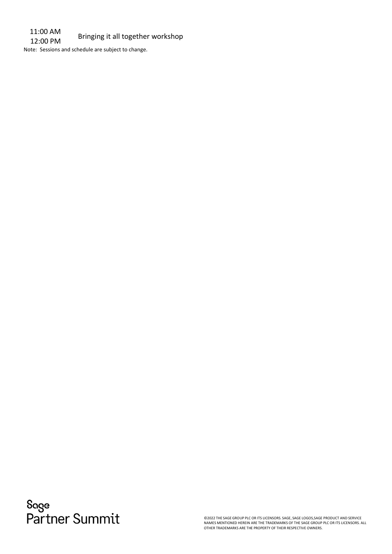11:00 AM 11:00 AM Bringing it all together workshop

Note: Sessions and schedule are subject to change.

Sage<br>Partner Summit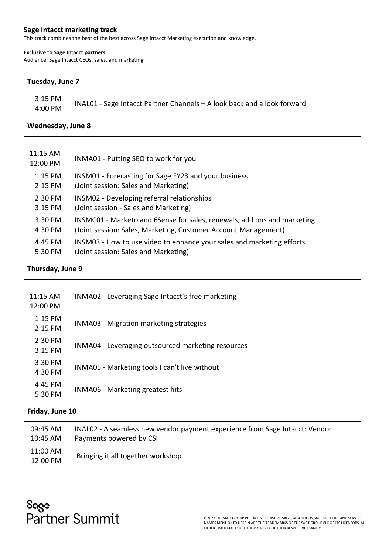#### <span id="page-6-0"></span>**Sage Intacct marketing track**

This track combines the best of the best across Sage Intacct Marketing execution and knowledge.

#### **Exclusive to Sage Intacct partners**

Audience: Sage Intacct CEOs, sales, and marketing

#### **Tuesday, June 7**

| 3:15 PM |                                                                         |
|---------|-------------------------------------------------------------------------|
| 4:00 PM | INAL01 - Sage Intacct Partner Channels - A look back and a look forward |

#### **Wednesday, June 8**

| 11:15 AM<br>12:00 PM | INMA01 - Putting SEO to work for you                                    |
|----------------------|-------------------------------------------------------------------------|
| 1:15 PM              | INSM01 - Forecasting for Sage FY23 and your business                    |
| 2:15 PM              | (Joint session: Sales and Marketing)                                    |
| $2:30$ PM            | <b>INSM02</b> - Developing referral relationships                       |
| 3:15 PM              | (Joint session - Sales and Marketing)                                   |
| 3:30 PM              | INSMC01 - Marketo and 6Sense for sales, renewals, add ons and marketing |
| 4:30 PM              | (Joint session: Sales, Marketing, Customer Account Management)          |
| 4:45 PM              | INSM03 - How to use video to enhance your sales and marketing efforts   |
| 5:30 PM              | (Joint session: Sales and Marketing)                                    |

#### **Thursday, June 9**

| $11:15$ AM<br>12:00 PM | INMA02 - Leveraging Sage Intacct's free marketing  |
|------------------------|----------------------------------------------------|
| $1:15$ PM<br>$2:15$ PM | <b>INMA03</b> - Migration marketing strategies     |
| 2:30 PM<br>$3:15$ PM   | INMA04 - Leveraging outsourced marketing resources |
| $3:30$ PM<br>4:30 PM   | INMA05 - Marketing tools I can't live without      |
| 4:45 PM<br>5:30 PM     | <b>INMA06 - Marketing greatest hits</b>            |

#### **Friday, June 10**

| 09:45 AM             | INAL02 - A seamless new vendor payment experience from Sage Intacct: Vendor |
|----------------------|-----------------------------------------------------------------------------|
| 10:45 AM             | Payments powered by CSI                                                     |
| 11:00 AM<br>12:00 PM | Bringing it all together workshop                                           |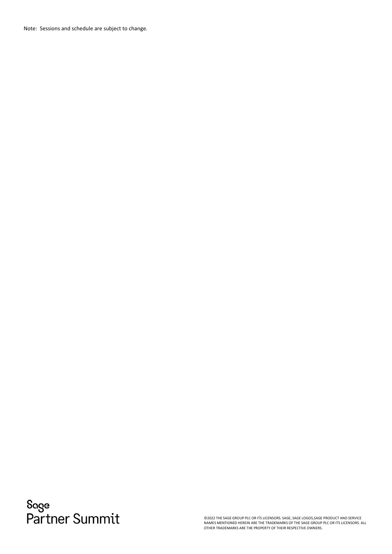Note: Sessions and schedule are subject to change.

Sage<br>Partner Summit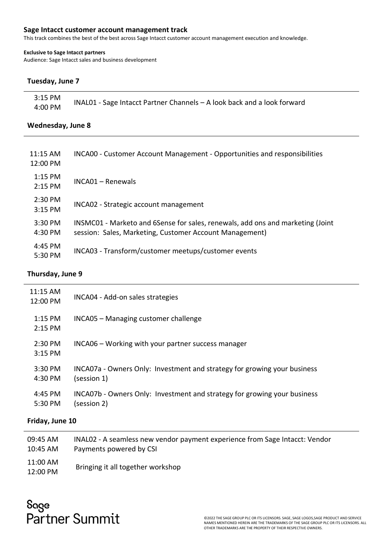#### <span id="page-8-0"></span>**Sage Intacct customer account management track**

This track combines the best of the best across Sage Intacct customer account management execution and knowledge.

#### **Exclusive to Sage Intacct partners**

Audience: Sage Intacct sales and business development

#### **Tuesday, June 7**

| 3:15 PM | INAL01 - Sage Intacct Partner Channels - A look back and a look forward |
|---------|-------------------------------------------------------------------------|
| 4:00 PM |                                                                         |

#### **Wednesday, June 8**

| 11:15 AM<br>12:00 PM | <b>INCA00 - Customer Account Management - Opportunities and responsibilities</b>                                                          |
|----------------------|-------------------------------------------------------------------------------------------------------------------------------------------|
| 1:15 PM<br>2:15 PM   | INCA01 - Renewals                                                                                                                         |
| 2:30 PM<br>3:15 PM   | INCA02 - Strategic account management                                                                                                     |
| 3:30 PM<br>4:30 PM   | INSMC01 - Marketo and 6Sense for sales, renewals, add ons and marketing (Joint<br>session: Sales, Marketing, Customer Account Management) |
| 4:45 PM<br>5:30 PM   | INCA03 - Transform/customer meetups/customer events                                                                                       |

#### **Thursday, June 9**

| $11:15$ AM<br>12:00 PM | INCA04 - Add-on sales strategies                                                        |
|------------------------|-----------------------------------------------------------------------------------------|
| $1:15$ PM<br>2:15 PM   | INCA05 - Managing customer challenge                                                    |
| 2:30 PM<br>$3:15$ PM   | INCA06 – Working with your partner success manager                                      |
| $3:30$ PM<br>4:30 PM   | INCA07a - Owners Only: Investment and strategy for growing your business<br>(session 1) |
| 4:45 PM<br>5:30 PM     | INCA07b - Owners Only: Investment and strategy for growing your business<br>(session 2) |

#### **Friday, June 10**

| 09:45 AM             | INAL02 - A seamless new vendor payment experience from Sage Intacct: Vendor |
|----------------------|-----------------------------------------------------------------------------|
| 10:45 AM             | Payments powered by CSI                                                     |
| 11:00 AM<br>12:00 PM | Bringing it all together workshop                                           |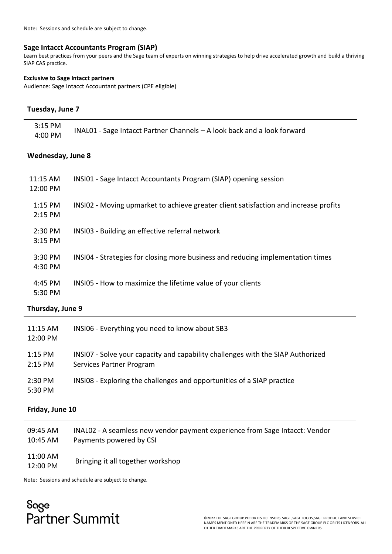<span id="page-9-0"></span>Note: Sessions and schedule are subject to change.

#### **Sage Intacct Accountants Program (SIAP)**

Learn best practices from your peers and the Sage team of experts on winning strategies to help drive accelerated growth and build a thriving SIAP CAS practice.

#### **Exclusive to Sage Intacct partners**

Audience: Sage Intacct Accountant partners (CPE eligible)

#### **Tuesday, June 7**

| 3:15 PM | INAL01 - Sage Intacct Partner Channels - A look back and a look forward |
|---------|-------------------------------------------------------------------------|
| 4:00 PM |                                                                         |

#### **Wednesday, June 8**

| 11:15 AM<br>12:00 PM   | INSI01 - Sage Intacct Accountants Program (SIAP) opening session                     |
|------------------------|--------------------------------------------------------------------------------------|
| $1:15$ PM<br>$2:15$ PM | INSI02 - Moving upmarket to achieve greater client satisfaction and increase profits |
| 2:30 PM<br>$3:15$ PM   | INSI03 - Building an effective referral network                                      |
| 3:30 PM<br>4:30 PM     | INSI04 - Strategies for closing more business and reducing implementation times      |
| 4:45 PM<br>$5:30$ PM   | INSI05 - How to maximize the lifetime value of your clients                          |

#### **Thursday, June 9**

| 11:15 AM<br>12:00 PM | INSI06 - Everything you need to know about SB3                                                              |
|----------------------|-------------------------------------------------------------------------------------------------------------|
| 1:15 PM<br>2:15 PM   | INSI07 - Solve your capacity and capability challenges with the SIAP Authorized<br>Services Partner Program |
| 2:30 PM<br>5:30 PM   | INSI08 - Exploring the challenges and opportunities of a SIAP practice                                      |

#### **Friday, June 10**

| 09:45 AM             | INAL02 - A seamless new vendor payment experience from Sage Intacct: Vendor |
|----------------------|-----------------------------------------------------------------------------|
| 10:45 AM             | Payments powered by CSI                                                     |
| 11:00 AM<br>12:00 PM | Bringing it all together workshop                                           |

Note: Sessions and schedule are subject to change.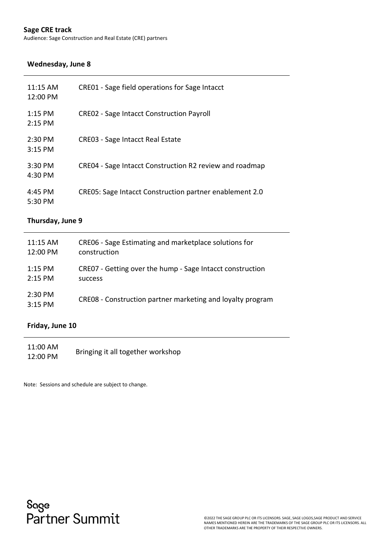#### <span id="page-10-0"></span>**Sage CRE track**

Audience: Sage Construction and Real Estate (CRE) partners

#### **Wednesday, June 8**

| $11:15$ AM<br>12:00 PM         | CRE01 - Sage field operations for Sage Intacct          |
|--------------------------------|---------------------------------------------------------|
| $1:15$ PM<br>$2:15$ PM         | <b>CREO2</b> - Sage Intacct Construction Payroll        |
| $2:30 \text{ PM}$<br>$3:15$ PM | <b>CRE03 - Sage Intacct Real Estate</b>                 |
| 3:30 PM<br>$4:30$ PM           | CRE04 - Sage Intacct Construction R2 review and roadmap |
| 4:45 PM<br>$5:30 \text{ PM}$   | CRE05: Sage Intacct Construction partner enablement 2.0 |

#### **Thursday, June 9**

| $11:15$ AM             | CRE06 - Sage Estimating and marketplace solutions for      |
|------------------------|------------------------------------------------------------|
| 12:00 PM               | construction                                               |
| $1:15$ PM              | CRE07 - Getting over the hump - Sage Intacct construction  |
| $2:15$ PM              | success                                                    |
| $2:30$ PM<br>$3:15$ PM | CREO8 - Construction partner marketing and loyalty program |

#### **Friday, June 10**

11:00 AM 11:00 AM Bringing it all together workshop

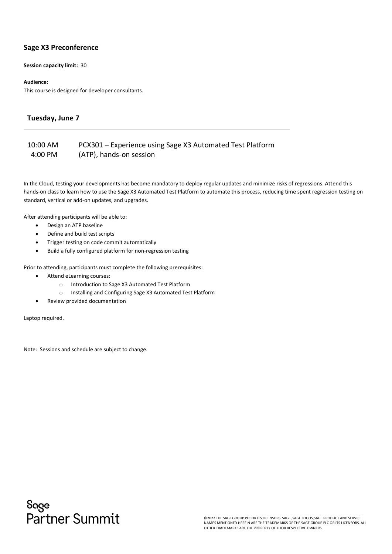#### <span id="page-11-0"></span>**Sage X3 Preconference**

**Session capacity limit:** 30

#### **Audience:**

This course is designed for developer consultants.

#### **Tuesday, June 7**

#### 10:00 AM 4:00 PM PCX301 – Experience using Sage X3 Automated Test Platform (ATP), hands-on session

In the Cloud, testing your developments has become mandatory to deploy regular updates and minimize risks of regressions. Attend this hands-on class to learn how to use the Sage X3 Automated Test Platform to automate this process, reducing time spent regression testing on standard, vertical or add-on updates, and upgrades.

After attending participants will be able to:

- Design an ATP baseline
- Define and build test scripts
- Trigger testing on code commit automatically
- Build a fully configured platform for non-regression testing

Prior to attending, participants must complete the following prerequisites:

- Attend eLearning courses:
	- o Introduction to Sage X3 Automated Test Platform
	- o Installing and Configuring Sage X3 Automated Test Platform
- Review provided documentation

Laptop required.

Note: Sessions and schedule are subject to change.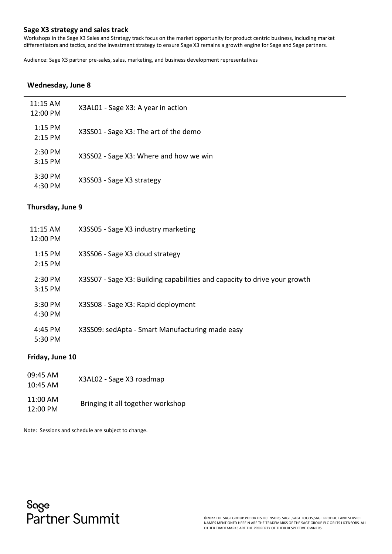#### <span id="page-12-0"></span>**Sage X3 strategy and sales track**

Workshops in the Sage X3 Sales and Strategy track focus on the market opportunity for product centric business, including market differentiators and tactics, and the investment strategy to ensure Sage X3 remains a growth engine for Sage and Sage partners.

Audience: Sage X3 partner pre-sales, sales, marketing, and business development representatives

#### **Wednesday, June 8**

| $11:15$ AM<br>12:00 PM | X3AL01 - Sage X3: A year in action     |
|------------------------|----------------------------------------|
| $1:15$ PM<br>$2:15$ PM | X3SS01 - Sage X3: The art of the demo  |
| $2:30$ PM<br>$3:15$ PM | X3SS02 - Sage X3: Where and how we win |
| $3:30$ PM<br>4:30 PM   | X3SS03 - Sage X3 strategy              |

#### **Thursday, June 9**

| $11:15$ AM<br>12:00 PM | X3SS05 - Sage X3 industry marketing                                       |
|------------------------|---------------------------------------------------------------------------|
| $1:15$ PM<br>$2:15$ PM | X3SS06 - Sage X3 cloud strategy                                           |
| $2:30$ PM<br>$3:15$ PM | X3SS07 - Sage X3: Building capabilities and capacity to drive your growth |
| $3:30$ PM<br>4:30 PM   | X3SS08 - Sage X3: Rapid deployment                                        |
| 4:45 PM<br>5:30 PM     | X3SS09: sedApta - Smart Manufacturing made easy                           |

#### **Friday, June 10**

| 09:45 AM<br>10:45 AM   | X3AL02 - Sage X3 roadmap          |
|------------------------|-----------------------------------|
| $11:00$ AM<br>12:00 PM | Bringing it all together workshop |

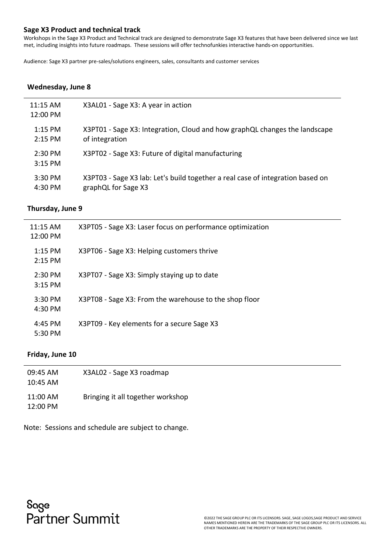#### <span id="page-13-0"></span>**Sage X3 Product and technical track**

Workshops in the Sage X3 Product and Technical track are designed to demonstrate Sage X3 features that have been delivered since we last met, including insights into future roadmaps. These sessions will offer technofunkies interactive hands-on opportunities.

Audience: Sage X3 partner pre-sales/solutions engineers, sales, consultants and customer services

#### **Wednesday, June 8**

| $11:15$ AM<br>12:00 PM | X3AL01 - Sage X3: A year in action                                             |
|------------------------|--------------------------------------------------------------------------------|
| $1:15$ PM              | X3PT01 - Sage X3: Integration, Cloud and how graphQL changes the landscape     |
| $2:15$ PM              | of integration                                                                 |
| $2:30$ PM<br>$3:15$ PM | X3PT02 - Sage X3: Future of digital manufacturing                              |
| $3:30$ PM              | X3PT03 - Sage X3 lab: Let's build together a real case of integration based on |
| 4:30 PM                | graphQL for Sage X3                                                            |

#### **Thursday, June 9**

| $11:15$ AM<br>12:00 PM | X3PT05 - Sage X3: Laser focus on performance optimization |
|------------------------|-----------------------------------------------------------|
| $1:15$ PM<br>$2:15$ PM | X3PT06 - Sage X3: Helping customers thrive                |
| 2:30 PM<br>$3:15$ PM   | X3PT07 - Sage X3: Simply staying up to date               |
| 3:30 PM<br>4:30 PM     | X3PT08 - Sage X3: From the warehouse to the shop floor    |
| $4:45$ PM<br>5:30 PM   | X3PT09 - Key elements for a secure Sage X3                |

#### **Friday, June 10**

| 09:45 AM<br>$10:45$ AM | X3AL02 - Sage X3 roadmap          |
|------------------------|-----------------------------------|
| 11:00 AM<br>12:00 PM   | Bringing it all together workshop |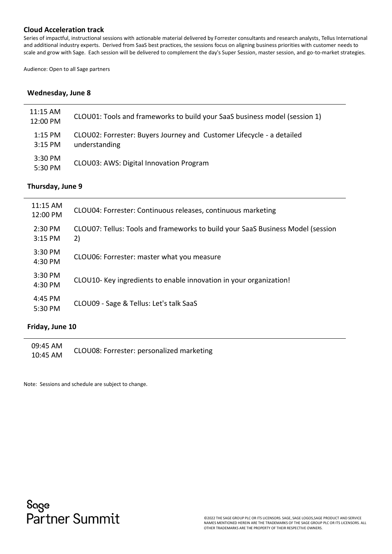#### <span id="page-14-0"></span>**Cloud Acceleration track**

Series of impactful, instructional sessions with actionable material delivered by Forrester consultants and research analysts, Tellus International and additional industry experts. Derived from SaaS best practices, the sessions focus on aligning business priorities with customer needs to scale and grow with Sage. Each session will be delivered to complement the day's Super Session, master session, and go-to-market strategies.

Audience: Open to all Sage partners

#### **Wednesday, June 8**

| $11:15$ AM<br>12:00 PM | CLOU01: Tools and frameworks to build your SaaS business model (session 1)             |
|------------------------|----------------------------------------------------------------------------------------|
| 1:15 PM<br>3:15 PM     | CLOU02: Forrester: Buyers Journey and Customer Lifecycle - a detailed<br>understanding |
| 3:30 PM<br>5:30 PM     | CLOU03: AWS: Digital Innovation Program                                                |

#### **Thursday, June 9**

| $11:15$ AM<br>12:00 PM | CLOU04: Forrester: Continuous releases, continuous marketing                          |
|------------------------|---------------------------------------------------------------------------------------|
| 2:30 PM<br>3:15 PM     | CLOU07: Tellus: Tools and frameworks to build your SaaS Business Model (session<br>2) |
| $3:30$ PM<br>4:30 PM   | CLOU06: Forrester: master what you measure                                            |
| 3:30 PM<br>4:30 PM     | CLOU10- Key ingredients to enable innovation in your organization!                    |
| 4:45 PM<br>5:30 PM     | CLOU09 - Sage & Tellus: Let's talk SaaS                                               |

#### **Friday, June 10**

09:45 AM 00:45 AM CLOU08: Forrester: personalized marketing<br>10:45 AM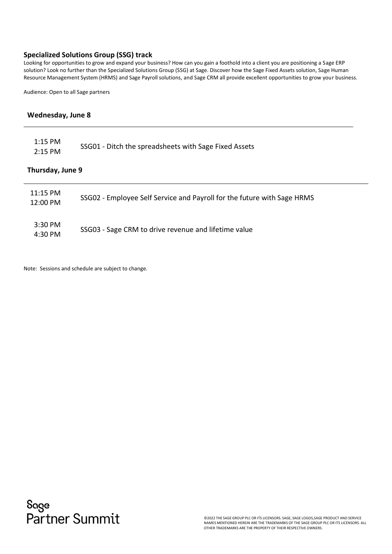#### <span id="page-15-0"></span>**Specialized Solutions Group (SSG) track**

Looking for opportunities to grow and expand your business? How can you gain a foothold into a client you are positioning a Sage ERP solution? Look no further than the Specialized Solutions Group (SSG) at Sage. Discover how the Sage Fixed Assets solution, Sage Human Resource Management System (HRMS) and Sage Payroll solutions, and Sage CRM all provide excellent opportunities to grow your business.

Audience: Open to all Sage partners

#### **Wednesday, June 8**

| $1:15$ PM<br>$2:15$ PM | SSG01 - Ditch the spreadsheets with Sage Fixed Assets                   |
|------------------------|-------------------------------------------------------------------------|
| Thursday, June 9       |                                                                         |
| $11:15$ PM<br>12:00 PM | SSG02 - Employee Self Service and Payroll for the future with Sage HRMS |
| 3:30 PM<br>4:30 PM     | SSG03 - Sage CRM to drive revenue and lifetime value                    |

Note: Sessions and schedule are subject to change.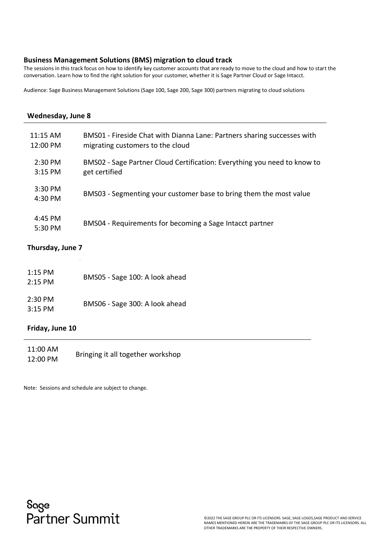#### <span id="page-16-0"></span>**Business Management Solutions (BMS) migration to cloud track**

The sessions in this track focus on how to identify key customer accounts that are ready to move to the cloud and how to start the conversation. Learn how to find the right solution for your customer, whether it is Sage Partner Cloud or Sage Intacct.

Audience: Sage Business Management Solutions (Sage 100, Sage 200, Sage 300) partners migrating to cloud solutions

| Wednesday, June 8                |                                                                                                             |
|----------------------------------|-------------------------------------------------------------------------------------------------------------|
| $11:15$ AM<br>$12:00 \text{ PM}$ | BMS01 - Fireside Chat with Dianna Lane: Partners sharing successes with<br>migrating customers to the cloud |
| $2:30 \text{ PM}$<br>3:15 PM     | BMS02 - Sage Partner Cloud Certification: Everything you need to know to<br>get certified                   |
| $3:30$ PM<br>$4:30 \text{ PM}$   | BMS03 - Segmenting your customer base to bring them the most value                                          |
| 4:45 PM<br>5:30 PM               | BMS04 - Requirements for becoming a Sage Intacct partner                                                    |
|                                  |                                                                                                             |

#### **Thursday, June 7**

| $1:15$ PM<br>$2:15$ PM | BMS05 - Sage 100: A look ahead |
|------------------------|--------------------------------|
| $2:30$ PM<br>$3:15$ PM | BMS06 - Sage 300: A look ahead |

#### **Friday, June 10**

| 11:00 AM | Bringing it all together workshop |
|----------|-----------------------------------|
| 12:00 PM |                                   |